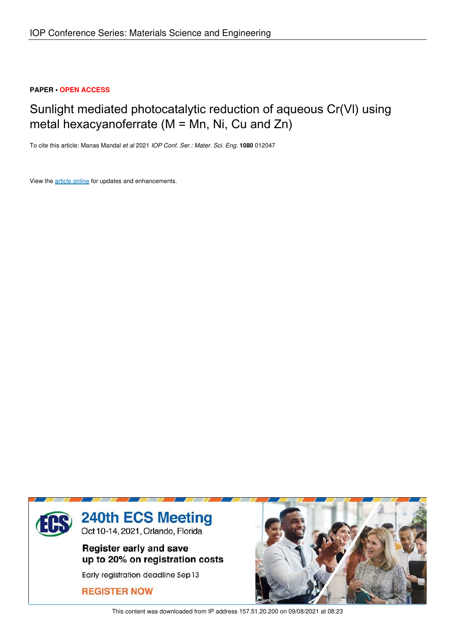# **PAPER • OPEN ACCESS**

# Sunlight mediated photocatalytic reduction of aqueous Cr(Vl) using metal hexacyanoferrate (M = Mn, Ni, Cu and Zn)

To cite this article: Manas Mandal *et al* 2021 *IOP Conf. Ser.: Mater. Sci. Eng.* **1080** 012047

View the article online for updates and enhancements.



This content was downloaded from IP address 157.51.20.200 on 09/08/2021 at 08:23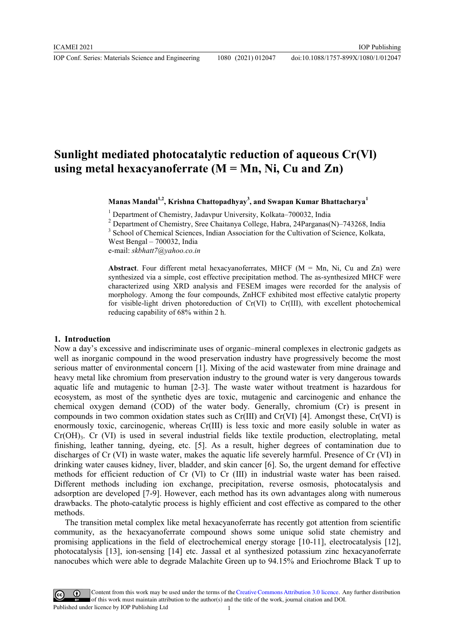IOP Conf. Series: Materials Science and Engineering 1080 (2021) 012047

# **Sunlight mediated photocatalytic reduction of aqueous Cr(Vl) using metal hexacyanoferrate (M = Mn, Ni, Cu and Zn)**

**Manas Mandal1,2 , Krishna Chattopadhyay<sup>3</sup> , and Swapan Kumar Bhattacharya<sup>1</sup>**

<sup>1</sup> Department of Chemistry, Jadavpur University, Kolkata-700032, India

<sup>2</sup> Department of Chemistry, Sree Chaitanya College, Habra, 24Parganas(N)–743268, India

<sup>3</sup> School of Chemical Sciences, Indian Association for the Cultivation of Science, Kolkata,

West Bengal – 700032, India e-mail: *skbhatt7@yahoo.co.in*

**Abstract**. Four different metal hexacyanoferrates, MHCF ( $M = Mn$ , Ni, Cu and Zn) were synthesized via a simple, cost effective precipitation method. The as-synthesized MHCF were characterized using XRD analysis and FESEM images were recorded for the analysis of morphology. Among the four compounds, ZnHCF exhibited most effective catalytic property for visible-light driven photoreduction of Cr(VI) to Cr(III), with excellent photochemical reducing capability of 68% within 2 h.

### **1. Introduction**

Now a day's excessive and indiscriminate uses of organic–mineral complexes in electronic gadgets as well as inorganic compound in the wood preservation industry have progressively become the most serious matter of environmental concern [1]. Mixing of the acid wastewater from mine drainage and heavy metal like chromium from preservation industry to the ground water is very dangerous towards aquatic life and mutagenic to human [2-3]. The waste water without treatment is hazardous for ecosystem, as most of the synthetic dyes are toxic, mutagenic and carcinogenic and enhance the chemical oxygen demand (COD) of the water body. Generally, chromium (Cr) is present in compounds in two common oxidation states such as  $Cr(III)$  and  $Cr(VI)$  [4]. Amongst these,  $Cr(VI)$  is enormously toxic, carcinogenic, whereas Cr(III) is less toxic and more easily soluble in water as  $Cr(OH)$ <sub>3</sub>. Cr (VI) is used in several industrial fields like textile production, electroplating, metal finishing, leather tanning, dyeing, etc. [5]. As a result, higher degrees of contamination due to discharges of Cr (VI) in waste water, makes the aquatic life severely harmful. Presence of Cr (VI) in drinking water causes kidney, liver, bladder, and skin cancer [6]. So, the urgent demand for effective methods for efficient reduction of Cr (Vl) to Cr (III) in industrial waste water has been raised. Different methods including ion exchange, precipitation, reverse osmosis, photocatalysis and adsorption are developed [7-9]. However, each method has its own advantages along with numerous drawbacks. The photo-catalytic process is highly efficient and cost effective as compared to the other methods.

The transition metal complex like metal hexacyanoferrate has recently got attention from scientific community, as the hexacyanoferrate compound shows some unique solid state chemistry and promising applications in the field of electrochemical energy storage [10-11], electrocatalysis [12], photocatalysis [13], ion-sensing [14] etc. Jassal et al synthesized potassium zinc hexacyanoferrate nanocubes which were able to degrade Malachite Green up to 94.15% and Eriochrome Black T up to

Content from this work may be used under the terms of theCreative Commons Attribution 3.0 licence. Any further distribution of this work must maintain attribution to the author(s) and the title of the work, journal citation and DOI. Published under licence by IOP Publishing Ltd 1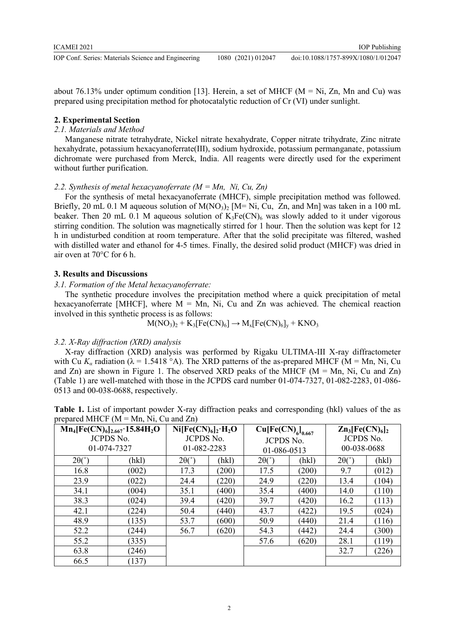IOP Conf. Series: Materials Science and Engineering 1080 (2021) 012047

doi:10.1088/1757-899X/1080/1/012047

about 76.13% under optimum condition [13]. Herein, a set of MHCF ( $M = Ni$ ,  $Zn$ , Mn and Cu) was prepared using precipitation method for photocatalytic reduction of Cr (VI) under sunlight.

#### **2. Experimental Section**

## *2.1. Materials and Method*

Manganese nitrate tetrahydrate, Nickel nitrate hexahydrate, Copper nitrate trihydrate, Zinc nitrate hexahydrate, potassium hexacyanoferrate(III), sodium hydroxide, potassium permanganate, potassium dichromate were purchased from Merck, India. All reagents were directly used for the experiment without further purification.

*2.2. Synthesis of metal hexacyanoferrate (M = Mn, Ni, Cu, Zn)* 

For the synthesis of metal hexacyanoferrate (MHCF), simple precipitation method was followed. Briefly, 20 mL 0.1 M aqueous solution of  $M(NO_3)$ , [M= Ni, Cu, Zn, and Mn] was taken in a 100 mL beaker. Then 20 mL 0.1 M aqueous solution of  $K_3Fe(CN)$ <sub>6</sub> was slowly added to it under vigorous stirring condition. The solution was magnetically stirred for 1 hour. Then the solution was kept for 12 h in undisturbed condition at room temperature. After that the solid precipitate was filtered, washed with distilled water and ethanol for 4-5 times. Finally, the desired solid product (MHCF) was dried in air oven at 70°C for 6 h.

#### **3. Results and Discussions**

#### *3.1. Formation of the Metal hexacyanoferrate:*

The synthetic procedure involves the precipitation method where a quick precipitation of metal hexacyanoferrate [MHCF], where  $M = Mn$ , Ni, Cu and Zn was achieved. The chemical reaction involved in this synthetic process is as follows:

$$
M(NO3)2 + K3[Fe(CN)6] \rightarrow Mx[Fe(CN)6]y + KNO3
$$

#### *3.2. X-Ray diffraction (XRD) analysis*

X-ray diffraction (XRD) analysis was performed by Rigaku ULTIMA-III X-ray diffractometer with Cu  $K_{\alpha}$  radiation ( $\lambda = 1.5418$  °A). The XRD patterns of the as-prepared MHCF (M = Mn, Ni, Cu and Zn) are shown in Figure 1. The observed XRD peaks of the MHCF ( $M = Mn$ , Ni, Cu and Zn) (Table 1) are well-matched with those in the JCPDS card number 01-074-7327, 01-082-2283, 01-086- 0513 and 00-038-0688, respectively.

| $Mn_{d}$ [Fe(CN) $_{d}$ ], $_{65}$ ·15.84H <sub>2</sub> O   Ni[Fe(CN) $_{d}$ ],·H <sub>2</sub> O          | – Cuffe(CN) 1 | $Zn_3[Fe(CN)6]$ |
|-----------------------------------------------------------------------------------------------------------|---------------|-----------------|
| prepared MHCF ( $M = Mn$ , Ni, Cu and Zn)                                                                 |               |                 |
| <b>Table 1.</b> List of important powder X-ray diffraction peaks and corresponding (hkl) values of the as |               |                 |

| $Mn_4[Fe(CN)_6]_{2.667}$ 15.84H <sub>2</sub> O |       | $Ni[Fe(CN)6]_{2}·H_{2}O$ |       | $Cu[Fe(CN)6]$ <sub>0.667</sub> |       | $Zn_3[Fe(CN)_6]_2$ |       |
|------------------------------------------------|-------|--------------------------|-------|--------------------------------|-------|--------------------|-------|
| <b>JCPDS No.</b>                               |       | <b>JCPDS No.</b>         |       | <b>JCPDS No.</b>               |       | <b>JCPDS No.</b>   |       |
| 01-074-7327                                    |       | 01-082-2283              |       | 01-086-0513                    |       | 00-038-0688        |       |
| $2\theta(°)$                                   | (hkl) | $2\theta$ ( $\degree$    | (hkl) | $2\theta($ °                   | (hkl) | $2\theta($ °       | (hkl) |
| 16.8                                           | (002) | 17.3                     | (200) | 17.5                           | (200) | 9.7                | (012) |
| 23.9                                           | (022) | 24.4                     | (220) | 24.9                           | (220) | 13.4               | (104) |
| 34.1                                           | (004) | 35.1                     | (400) | 35.4                           | (400) | 14.0               | (110) |
| 38.3                                           | (024) | 39.4                     | (420) | 39.7                           | (420) | 16.2               | (113) |
| 42.1                                           | (224) | 50.4                     | (440) | 43.7                           | (422) | 19.5               | (024) |
| 48.9                                           | (135) | 53.7                     | (600) | 50.9                           | (440) | 21.4               | (116) |
| 52.2                                           | (244) | 56.7                     | (620) | 54.3                           | (442) | 24.4               | (300) |
| 55.2                                           | (335) |                          |       | 57.6                           | (620) | 28.1               | (119) |
| 63.8                                           | (246) |                          |       |                                |       | 32.7               | (226) |
| 66.5                                           | (137) |                          |       |                                |       |                    |       |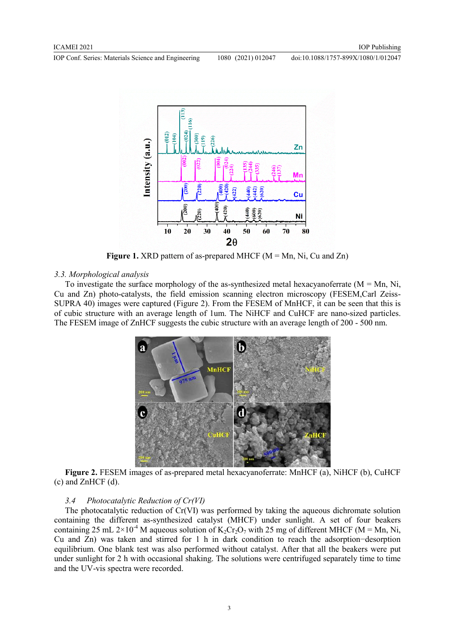IOP Conf. Series: Materials Science and Engineering 1080 (2021) 012047



**Figure 1.** XRD pattern of as-prepared MHCF (M = Mn, Ni, Cu and Zn)

#### *3.3. Morphological analysis*

To investigate the surface morphology of the as-synthesized metal hexacyanoferrate  $(M = Mn, Ni,$ Cu and Zn) photo-catalysts, the field emission scanning electron microscopy (FESEM,Carl Zeiss-SUPRA 40) images were captured (Figure 2). From the FESEM of MnHCF, it can be seen that this is of cubic structure with an average length of 1um. The NiHCF and CuHCF are nano-sized particles. The FESEM image of ZnHCF suggests the cubic structure with an average length of 200 - 500 nm.



**Figure 2.** FESEM images of as-prepared metal hexacyanoferrate: MnHCF (a), NiHCF (b), CuHCF (c) and ZnHCF (d).

#### *3.4 Photocatalytic Reduction of Cr(VI)*

The photocatalytic reduction of Cr(VI) was performed by taking the aqueous dichromate solution containing the different as-synthesized catalyst (MHCF) under sunlight. A set of four beakers containing 25 mL 2×10<sup>-4</sup> M aqueous solution of K<sub>2</sub>Cr<sub>2</sub>O<sub>7</sub> with 25 mg of different MHCF (M = Mn, Ni, Cu and Zn) was taken and stirred for 1 h in dark condition to reach the adsorption−desorption equilibrium. One blank test was also performed without catalyst. After that all the beakers were put under sunlight for 2 h with occasional shaking. The solutions were centrifuged separately time to time and the UV-vis spectra were recorded.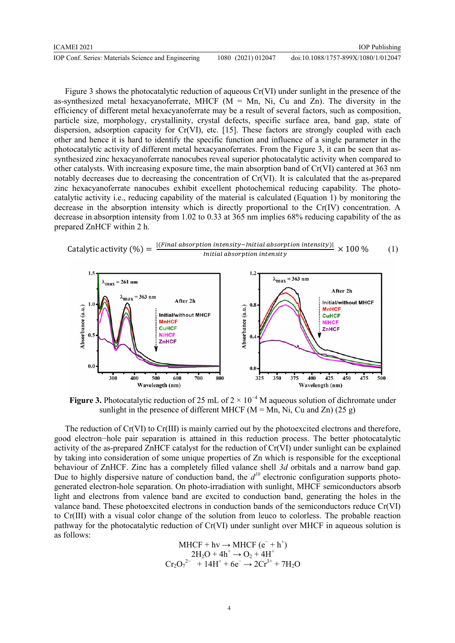| ICAMEI 2021                                         |                    | <b>IOP</b> Publishing               |
|-----------------------------------------------------|--------------------|-------------------------------------|
| IOP Conf. Series: Materials Science and Engineering | 1080 (2021) 012047 | doi:10.1088/1757-899X/1080/1/012047 |

Figure 3 shows the photocatalytic reduction of aqueous Cr(VI) under sunlight in the presence of the as-synthesized metal hexacyanoferrate, MHCF  $(M = Mn, Ni, Cu, and Zn)$ . The diversity in the efficiency of different metal hexacyanoferrate may be a result of several factors, such as composition, particle size, morphology, crystallinity, crystal defects, specific surface area, band gap, state of dispersion, adsorption capacity for Cr(VI), etc. [15]. These factors are strongly coupled with each other and hence it is hard to identify the specific function and influence of a single parameter in the photocatalytic activity of different metal hexacyanoferrates. From the Figure 3, it can be seen that assynthesized zinc hexacyanoferrate nanocubes reveal superior photocatalytic activity when compared to other catalysts. With increasing exposure time, the main absorption band of Cr(VI) cantered at 363 nm notably decreases due to decreasing the concentration of Cr(VI). It is calculated that the as-prepared zinc hexacyanoferrate nanocubes exhibit excellent photochemical reducing capability. The photocatalytic activity i.e., reducing capability of the material is calculated (Equation 1) by monitoring the decrease in the absorption intensity which is directly proportional to the Cr(IV) concentration. A decrease in absorption intensity from 1.02 to 0.33 at 365 nm implies 68% reducing capability of the as prepared ZnHCF within 2 h.

Catalytic activity (
$$
\%
$$
) =  $\frac{|(Final absorption intensity-Initial absorption intensity)|}{Initial absorption intensity} \times 100\%$  (1)



**Figure 3.** Photocatalytic reduction of 25 mL of  $2 \times 10^{-4}$  M aqueous solution of dichromate under sunlight in the presence of different MHCF ( $M = Mn$ , Ni, Cu and Zn) (25 g)

The reduction of Cr(VI) to Cr(III) is mainly carried out by the photoexcited electrons and therefore, good electron−hole pair separation is attained in this reduction process. The better photocatalytic activity of the as-prepared ZnHCF catalyst for the reduction of Cr(VI) under sunlight can be explained by taking into consideration of some unique properties of Zn which is responsible for the exceptional behaviour of ZnHCF. Zinc has a completely filled valance shell *3d* orbitals and a narrow band gap. Due to highly dispersive nature of conduction band, the  $d^{10}$  electronic configuration supports photogenerated electron-hole separation. On photo-irradiation with sunlight, MHCF semiconductors absorb light and electrons from valence band are excited to conduction band, generating the holes in the valance band. These photoexcited electrons in conduction bands of the semiconductors reduce Cr(VI) to Cr(III) with a visual color change of the solution from leuco to colorless. The probable reaction pathway for the photocatalytic reduction of Cr(VI) under sunlight over MHCF in aqueous solution is as follows:

$$
MHCF + hv \rightarrow MHCF (e^- + h^+) \n2H2O + 4h+ \rightarrow O2 + 4H+ \nCr2O72- + 14H+ + 6e^- \rightarrow 2Cr3+ + 7H2O
$$